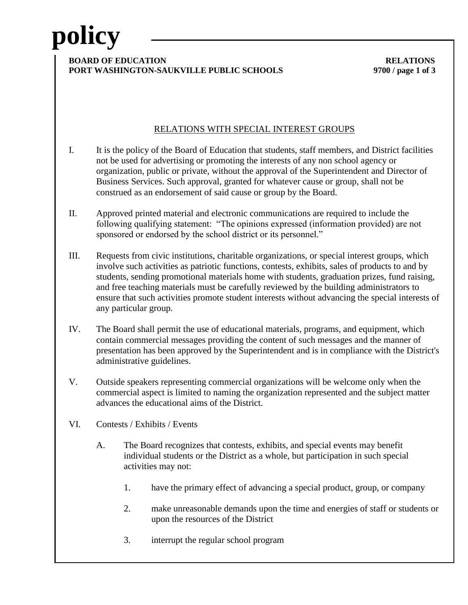# **policy**

#### **BOARD OF EDUCATION RELATIONS PORT WASHINGTON-SAUKVILLE PUBLIC SCHOOLS 9700 / page 1 of 3**

### RELATIONS WITH SPECIAL INTEREST GROUPS

- I. It is the policy of the Board of Education that students, staff members, and District facilities not be used for advertising or promoting the interests of any non school agency or organization, public or private, without the approval of the Superintendent and Director of Business Services. Such approval, granted for whatever cause or group, shall not be construed as an endorsement of said cause or group by the Board.
- II. Approved printed material and electronic communications are required to include the following qualifying statement: "The opinions expressed (information provided) are not sponsored or endorsed by the school district or its personnel."
- III. Requests from civic institutions, charitable organizations, or special interest groups, which involve such activities as patriotic functions, contests, exhibits, sales of products to and by students, sending promotional materials home with students, graduation prizes, fund raising, and free teaching materials must be carefully reviewed by the building administrators to ensure that such activities promote student interests without advancing the special interests of any particular group.
- IV. The Board shall permit the use of educational materials, programs, and equipment, which contain commercial messages providing the content of such messages and the manner of presentation has been approved by the Superintendent and is in compliance with the District's administrative guidelines.
- V. Outside speakers representing commercial organizations will be welcome only when the commercial aspect is limited to naming the organization represented and the subject matter advances the educational aims of the District.
- VI. Contests / Exhibits / Events
	- A. The Board recognizes that contests, exhibits, and special events may benefit individual students or the District as a whole, but participation in such special activities may not:
		- 1. have the primary effect of advancing a special product, group, or company
		- 2. make unreasonable demands upon the time and energies of staff or students or upon the resources of the District
		- 3. interrupt the regular school program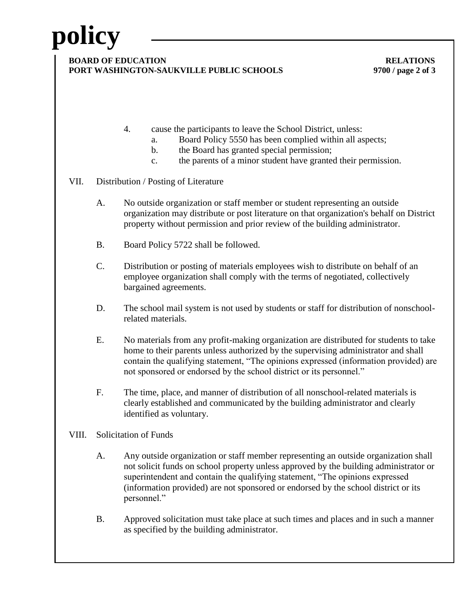# **policy**

#### **BOARD OF EDUCATION RELATIONS PORT WASHINGTON-SAUKVILLE PUBLIC SCHOOLS 9700 / page 2 of 3**

- 4. cause the participants to leave the School District, unless:
	- a. Board Policy 5550 has been complied within all aspects;
	- b. the Board has granted special permission;
	- c. the parents of a minor student have granted their permission.

### VII. Distribution / Posting of Literature

- A. No outside organization or staff member or student representing an outside organization may distribute or post literature on that organization's behalf on District property without permission and prior review of the building administrator.
- B. Board Policy 5722 shall be followed.
- C. Distribution or posting of materials employees wish to distribute on behalf of an employee organization shall comply with the terms of negotiated, collectively bargained agreements.
- D. The school mail system is not used by students or staff for distribution of nonschoolrelated materials.
- E. No materials from any profit-making organization are distributed for students to take home to their parents unless authorized by the supervising administrator and shall contain the qualifying statement, "The opinions expressed (information provided) are not sponsored or endorsed by the school district or its personnel."
- F. The time, place, and manner of distribution of all nonschool-related materials is clearly established and communicated by the building administrator and clearly identified as voluntary.

### VIII. Solicitation of Funds

- A. Any outside organization or staff member representing an outside organization shall not solicit funds on school property unless approved by the building administrator or superintendent and contain the qualifying statement, "The opinions expressed (information provided) are not sponsored or endorsed by the school district or its personnel."
- B. Approved solicitation must take place at such times and places and in such a manner as specified by the building administrator.